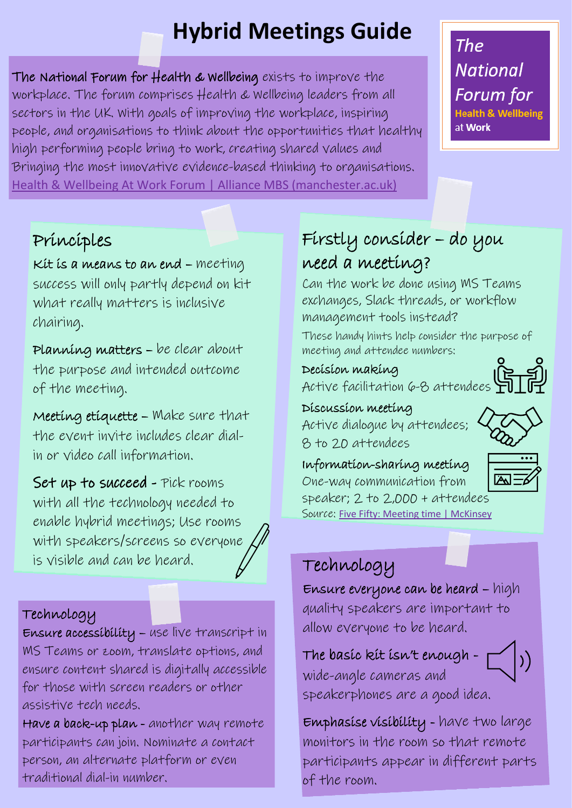# **Hybrid Meetings Guide**

The National Forum for Health & Wellbeing exists to improve the workplace. The forum comprises Health & Wellbeing leaders from all sectors in the UK. With goals of improving the workplace, inspiring people, and organisations to think about the opportunities that healthy high performing people bring to work, creating shared values and Bringing the most innovative evidence-based thinking to organisations. [Health & Wellbeing At Work Forum | Alliance MBS \(manchester.ac.uk\)](https://www.alliancembs.manchester.ac.uk/research/health-wellbeing-forum/)

### The **National** Forum for **Tealth & Wellbeing** at Work

### Principles

Kit is a means to an end – meeting success will only partly depend on kit what really matters is inclusive chairing.

Planning matters – be clear about the purpose and intended outcome of the meeting.

Meeting etiquette – Make sure that the event invite includes clear dialin or video call information.

Set up to succeed - Pick rooms with all the technology needed to enable hybrid meetings; Use rooms with speakers/screens so everyone is visible and can be heard.

## Technology

 MS Teams or zoom, translate options, and Ensure accessibility – use live transcript in ensure content shared is digitally accessible for those with screen readers or other assistive tech needs.

Have a back-up plan - another way remote participants can join. Nominate a contact person, an alternate platform or even traditional dial-in number.

### Firstly consider – do you need a meeting?

Can the work be done using MS Teams exchanges, Slack threads, or workflow management tools instead?

These handy hints help consider the purpose of meeting and attendee numbers:

Decision making

Active facilitation 6-8 attendees

Discussion meeting Active dialogue by attendees; 8 to 20 attendees

Information-sharing meeting One-way communication from

speaker; 2 to 2,000 + attendees Source: [Five Fifty: Meeting time | McKinsey](https://www.mckinsey.com/business-functions/people-and-organizational-performance/our-insights/five-fifty-meeting-time)

## Technology

Ensure everyone can be heard – high quality speakers are important to allow everyone to be heard.

The basic kit isn't enough wide-angle cameras and speakerphones are a good idea.

Emphasise visibility - have two large monitors in the room so that remote participants appear in different parts of the room.





 $\big|\big) \big)$